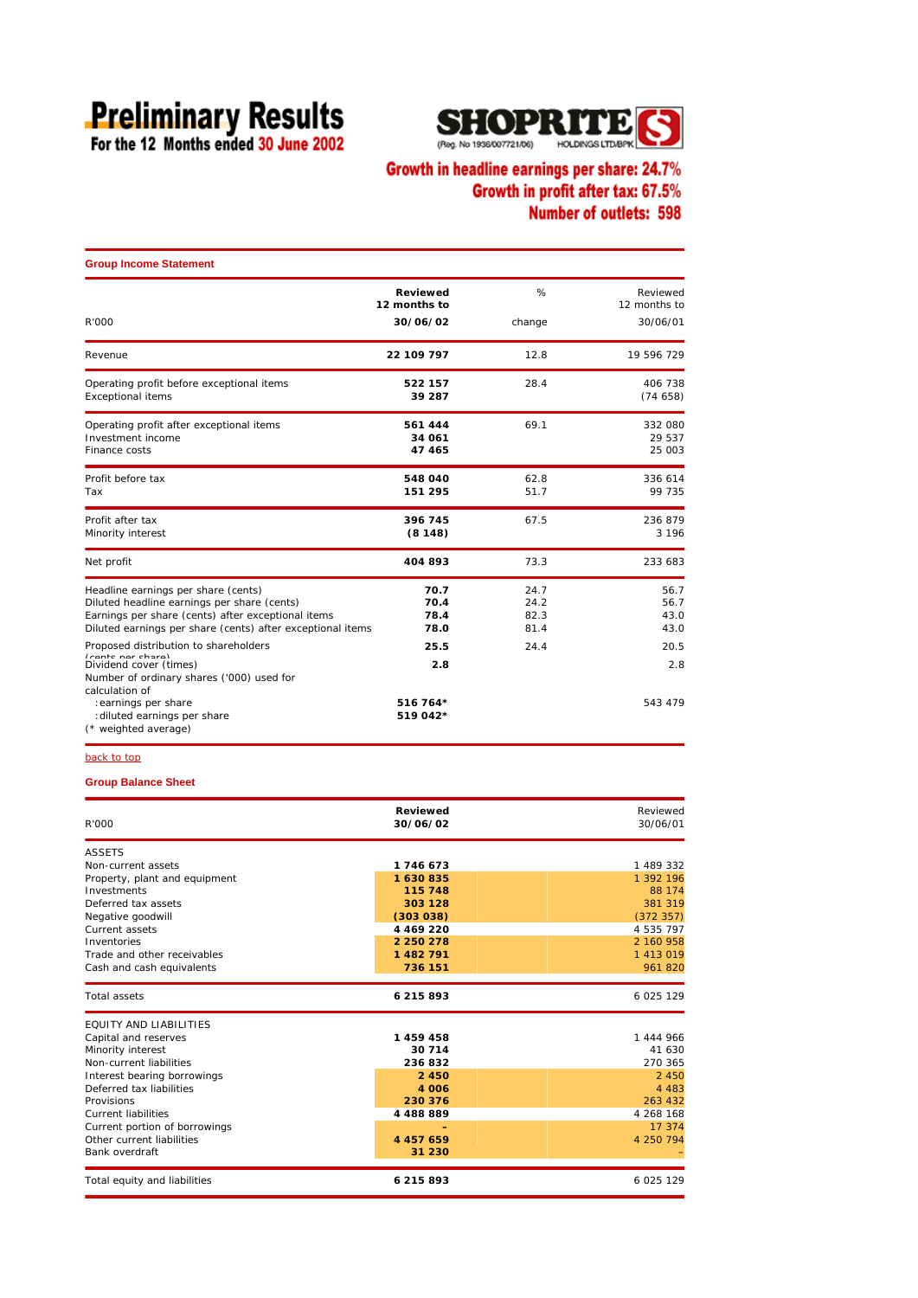# **Preliminary Results**<br>For the 12 Months ended 30 June 2002



## Growth in headline earnings per share: 24.7% Growth in profit after tax: 67.5% Number of outlets: 598

| <b>Group Income Statement</b>                                                                                                                                                                          |                              |                              |                              |
|--------------------------------------------------------------------------------------------------------------------------------------------------------------------------------------------------------|------------------------------|------------------------------|------------------------------|
|                                                                                                                                                                                                        | Reviewed<br>12 months to     | %                            | Reviewed<br>12 months to     |
| R'000                                                                                                                                                                                                  | 30/06/02                     | change                       | 30/06/01                     |
| Revenue                                                                                                                                                                                                | 22 109 797                   | 12.8                         | 19 596 729                   |
| Operating profit before exceptional items<br><b>Exceptional items</b>                                                                                                                                  | 522 157<br>39 287            | 28.4                         | 406 738<br>(74658)           |
| Operating profit after exceptional items<br>Investment income<br>Finance costs                                                                                                                         | 561 444<br>34 061<br>47 465  | 69.1                         | 332 080<br>29 537<br>25 003  |
| Profit before tax<br>Tax                                                                                                                                                                               | 548 040<br>151 295           | 62.8<br>51.7                 | 336 614<br>99 735            |
| Profit after tax<br>Minority interest                                                                                                                                                                  | 396 745<br>(8148)            | 67.5                         | 236 879<br>3 1 9 6           |
| Net profit                                                                                                                                                                                             | 404 893                      | 73.3                         | 233 683                      |
| Headline earnings per share (cents)<br>Diluted headline earnings per share (cents)<br>Earnings per share (cents) after exceptional items<br>Diluted earnings per share (cents) after exceptional items | 70.7<br>70.4<br>78.4<br>78.0 | 24.7<br>24.2<br>82.3<br>81.4 | 56.7<br>56.7<br>43.0<br>43.0 |
| Proposed distribution to shareholders<br>$(constc \nover \noverline{c})$<br>Dividend cover (times)                                                                                                     | 25.5<br>2.8                  | 24.4                         | 20.5<br>2.8                  |
| Number of ordinary shares ('000) used for<br>calculation of<br>: earnings per share<br>: diluted earnings per share<br>(* weighted average)                                                            | 516 764*<br>519 042*         |                              | 543 479                      |

back to top

### **Group Balance Sheet**

| R'000                         | Reviewed<br>30/06/02 | Reviewed<br>30/06/01 |
|-------------------------------|----------------------|----------------------|
| <b>ASSETS</b>                 |                      |                      |
| Non-current assets            | 1746673              | 1 489 332            |
| Property, plant and equipment | 1630835              | 1 392 196            |
| Investments                   | 115 748              | 88 174               |
| Deferred tax assets           | 303 128              | 381 319              |
| Negative goodwill             | (303038)             | (372357)             |
| Current assets                | 4 4 6 9 2 2 0        | 4 535 797            |
| Inventories                   | 2 250 278            | 2 160 958            |
| Trade and other receivables   | 1482791              | 1 413 019            |
| Cash and cash equivalents     | 736 151              | 961 820              |
| <b>Total assets</b>           | 6 215 893            | 6 0 25 1 29          |
| <b>FOUITY AND LIABILITIES</b> |                      |                      |
| Capital and reserves          | 1459458              | 1444966              |
| Minority interest             | 30 714               | 41 630               |
| Non-current liabilities       | 236832               | 270 365              |
| Interest bearing borrowings   | 2 450                | 2 4 5 0              |
| Deferred tax liabilities      | 4 0 0 6              | 4 4 8 3              |
| Provisions                    | 230 376              | 263 432              |
| <b>Current liabilities</b>    | 4488889              | 4 268 168            |
| Current portion of borrowings |                      | 17 374               |
| Other current liabilities     | 4 4 5 7 6 5 9        | 4 250 794            |
| Bank overdraft                | 31 230               |                      |
| Total equity and liabilities  | 6 215 893            | 6 0 25 1 29          |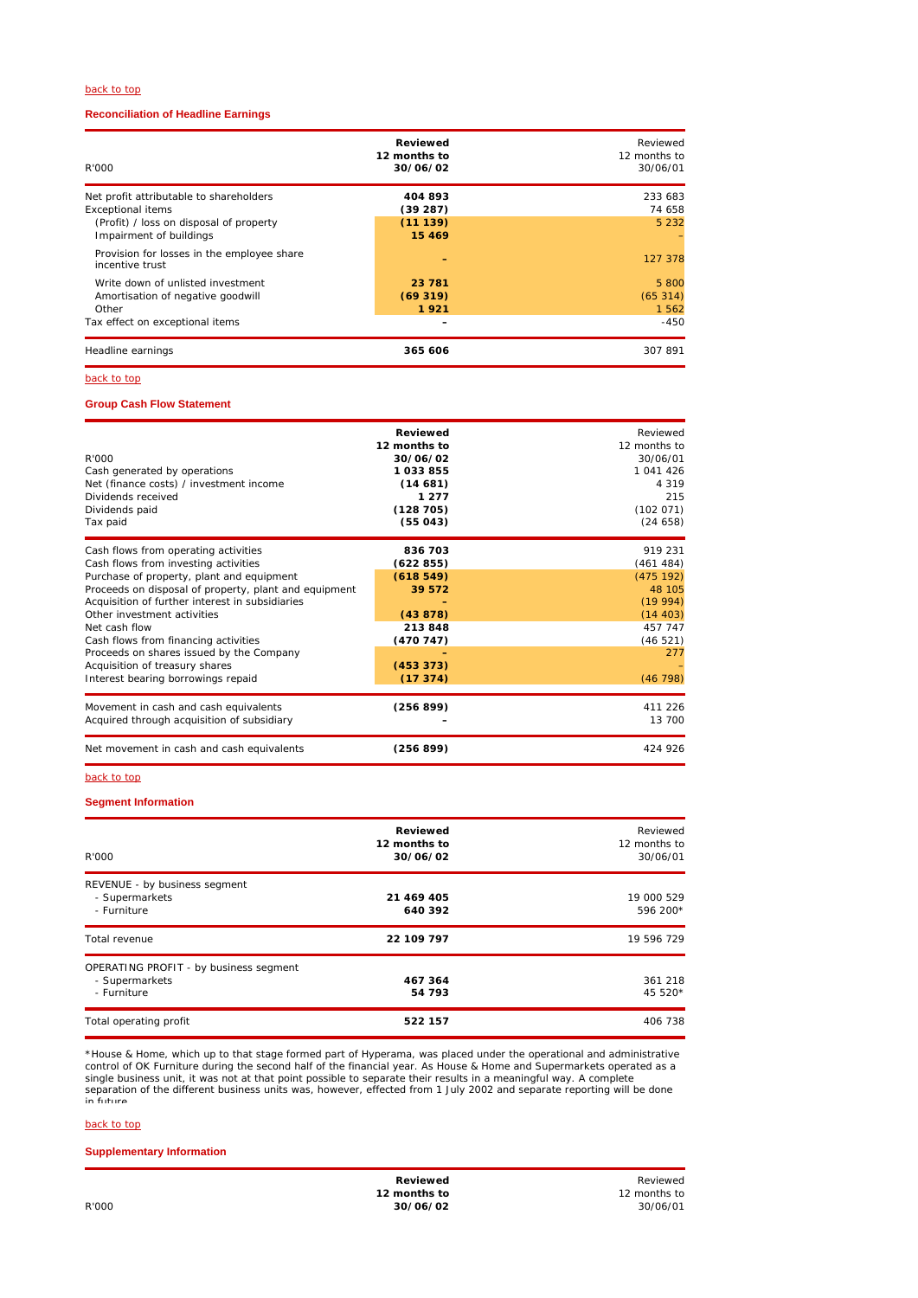#### back to top

### **Reconciliation of Headline Earnings**

| R'000                                                                                                                                     | Reviewed<br>12 months to<br>30/06/02      | Reviewed<br>12 months to<br>30/06/01 |
|-------------------------------------------------------------------------------------------------------------------------------------------|-------------------------------------------|--------------------------------------|
| Net profit attributable to shareholders<br><b>Exceptional items</b><br>(Profit) / loss on disposal of property<br>Impairment of buildings | 404 893<br>(39287)<br>(11139)<br>15 4 6 9 | 233 683<br>74 658<br>5 2 3 2         |
| Provision for losses in the employee share<br>incentive trust                                                                             |                                           | 127 378                              |
| Write down of unlisted investment<br>Amortisation of negative goodwill<br>Other                                                           | 23 781<br>(69319)<br>1921                 | 5 800<br>(65314)<br>1 5 6 2          |
| Tax effect on exceptional items                                                                                                           |                                           | $-450$                               |
| Headline earnings                                                                                                                         | 365 606                                   | 307 891                              |

#### back to top

### **Group Cash Flow Statement**

| R'000<br>Cash generated by operations<br>Net (finance costs) / investment income<br>Dividends received<br>Dividends paid<br>Tax paid                                                                                                                                                                                                                                                                                                              | <b>Reviewed</b><br>12 months to<br>30/06/02<br>1033855<br>(14681)<br>1 2 7 7<br>(128705)<br>(55043) | Reviewed<br>12 months to<br>30/06/01<br>1 041 426<br>4 3 1 9<br>215<br>(102 071)<br>(24658)               |
|---------------------------------------------------------------------------------------------------------------------------------------------------------------------------------------------------------------------------------------------------------------------------------------------------------------------------------------------------------------------------------------------------------------------------------------------------|-----------------------------------------------------------------------------------------------------|-----------------------------------------------------------------------------------------------------------|
| Cash flows from operating activities<br>Cash flows from investing activities<br>Purchase of property, plant and equipment<br>Proceeds on disposal of property, plant and equipment<br>Acquisition of further interest in subsidiaries<br>Other investment activities<br>Net cash flow<br>Cash flows from financing activities<br>Proceeds on shares issued by the Company<br>Acquisition of treasury shares<br>Interest bearing borrowings repaid | 836 703<br>(622855)<br>(618549)<br>39 572<br>(43878)<br>213848<br>(470747)<br>(453373)<br>(17374)   | 919 231<br>(461484)<br>(475 192)<br>48 105<br>(19994)<br>(14 403)<br>457 747<br>(46521)<br>277<br>(46798) |
| Movement in cash and cash equivalents<br>Acquired through acquisition of subsidiary                                                                                                                                                                                                                                                                                                                                                               | (256 899)                                                                                           | 411 226<br>13 700                                                                                         |
| Net movement in cash and cash equivalents                                                                                                                                                                                                                                                                                                                                                                                                         | (256 899)                                                                                           | 424 926                                                                                                   |

#### back to top

#### **Segment Information**

| R'000                                                                   | Reviewed<br>12 months to<br>30/06/02 | Reviewed<br>12 months to<br>30/06/01 |
|-------------------------------------------------------------------------|--------------------------------------|--------------------------------------|
| REVENUE - by business segment<br>- Supermarkets<br>- Furniture          | 21 469 405<br>640 392                | 19 000 529<br>596 200*               |
| Total revenue                                                           | 22 109 797                           | 19 596 729                           |
| OPERATING PROFIT - by business segment<br>- Supermarkets<br>- Furniture | 467 364<br>54 793                    | 361 218<br>45 520*                   |
| Total operating profit                                                  | 522 157                              | 406 738                              |

\*House & Home, which up to that stage formed part of Hyperama, was placed under the operational and administrative<br>control of OK Furniture during the second half of the financial year. As House & Home and Supermarkets oper

#### back to top

### **Supplementary Information**

**12 months to 12 months to 12 months to 12 months to 12 months to** R'000 **30/06/02** 30/06/01

**Reviewed** Reviewed Reviewed Reviewed Reviewed Reviewed Reviewed Reviewed Reviewed Reviewed Reviewed Reviewed Rev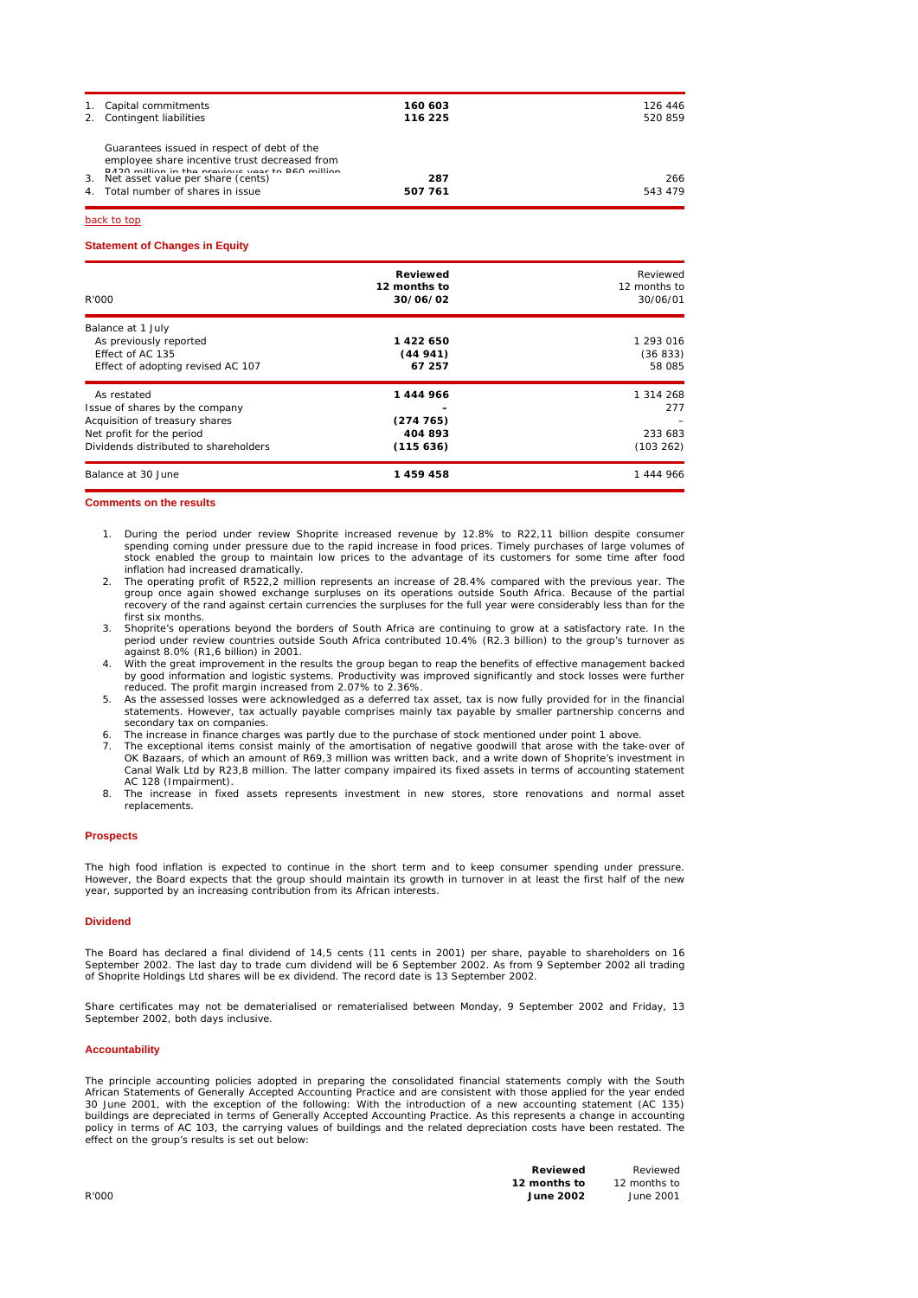| 1. Capital commitments<br>2. Contingent liabilities                                                                                              | 160 603<br>116 225 | 126 446<br>520859 |
|--------------------------------------------------------------------------------------------------------------------------------------------------|--------------------|-------------------|
| Guarantees issued in respect of debt of the<br>employee share incentive trust decreased from<br>D420 million in the provious year to D60 million |                    |                   |
| 3. Net asset value per share (cents)                                                                                                             | 287                | 266               |
| 4. Total number of shares in issue                                                                                                               | 507 761            | 543 479           |

back to top

#### **Statement of Changes in Equity**

| R'000                                 | <b>Reviewed</b><br>12 months to<br>30/06/02 | Reviewed<br>12 months to<br>30/06/01 |
|---------------------------------------|---------------------------------------------|--------------------------------------|
| Balance at 1 July                     |                                             |                                      |
| As previously reported                | 1422650                                     | 1 293 016                            |
| Effect of AC 135                      | (44941)                                     | (36833)                              |
| Effect of adopting revised AC 107     | 67 257                                      | 58 085                               |
| As restated                           | 1444966                                     | 1 314 268                            |
| Issue of shares by the company        |                                             | 277                                  |
| Acquisition of treasury shares        | (274765)                                    |                                      |
| Net profit for the period             | 404 893                                     | 233 683                              |
| Dividends distributed to shareholders | (115636)                                    | (103 262)                            |
| Balance at 30 June                    | 1459458                                     | 1444966                              |

#### **Comments on the results**

- 1. During the period under review Shoprite increased revenue by 12.8% to R22,11 billion despite consumer spending coming under pressure due to the rapid increase in food prices. Timely purchases of large volumes of stock enabled the group to maintain low prices to the advantage of its customers for some time after food inflation had increased dramatically.
- 2. The operating profit of R522,2 million represents an increase of 28.4% compared with the previous year. The group once again showed exchange surpluses on its operations outside South Africa. Because of the partial recovery of the rand against certain currencies the surpluses for the full year were considerably less than for the first six months.
- 3. Shoprite's operations beyond the borders of South Africa are continuing to grow at a satisfactory rate. In the period under review countries outside South Africa contributed 10.4% (R2.3 billion) to the group's turnover as against 8.0% (R1,6 billion) in 2001.
- 4. With the great improvement in the results the group began to reap the benefits of effective management backed<br>by good information and logistic systems. Productivity was improved significantly and stock losses were furth
- 5. As the assessed losses were acknowledged as a deferred tax asset, tax is now fully provided for in the financial statements. However, tax actually payable comprises mainly tax payable by smaller partnership concerns and secondary tax on companies.
- The increase in finance charges was partly due to the purchase of stock mentioned under point 1 above.
- 7. The exceptional items consist mainly of the amortisation of negative goodwill that arose with the take-over of<br>OK Bazaars, of which an amount of R69,3 million was written back, and a write down of Shoprite's investment Canal Walk Ltd by R23,8 million. The latter company impaired its fixed assets in terms of accounting statement AC 128 (Impairment).
- 8. The increase in fixed assets represents investment in new stores, store renovations and normal asset replacements.

#### **Prospects**

The high food inflation is expected to continue in the short term and to keep consumer spending under pressure. However, the Board expects that the group should maintain its growth in turnover in at least the first half of the new year, supported by an increasing contribution from its African interests.

#### **Dividend**

The Board has declared a final dividend of 14,5 cents (11 cents in 2001) per share, payable to shareholders on 16 September 2002. The last day to trade cum dividend will be 6 September 2002. As from 9 September 2002 all trading of Shoprite Holdings Ltd shares will be ex dividend. The record date is 13 September 2002.

Share certificates may not be dematerialised or rematerialised between Monday, 9 September 2002 and Friday, 13 September 2002, both days inclusive.

#### **Accountability**

The principle accounting policies adopted in preparing the consolidated financial statements comply with the South African Statements of Generally Accepted Accounting Practice and are consistent with those applied for the year ended<br>30 June 2001, with the exception of the following: With the introduction of a new accounting statement ( policy in terms of AC 103, the carrying values of buildings and the related depreciation costs have been restated. The effect on the group's results is set out below:

| Reviewed         | Reviewed     |
|------------------|--------------|
| 12 months to     | 12 months to |
| <b>June 2002</b> | June 2001    |